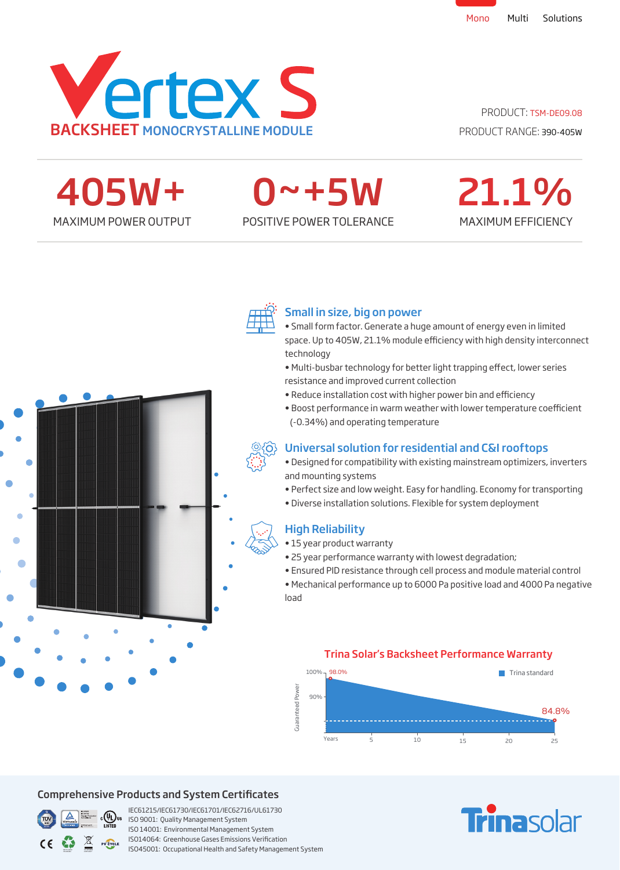

### PRODUCT: TSM-DE09.08

MAXIMUM POWER OUTPUT POSITIVE POWER TOLERANCE 405W+

# 0~+5W

### MAXIMUM EFFICIENCY 21.1%



### Small in size, big on power

- Small form factor. Generate a huge amount of energy even in limited space. Up to 405W, 21.1% module efficiency with high density interconnect technology
- Multi-busbar technology for better light trapping effect, lower series resistance and improved current collection
- Reduce installation cost with higher power bin and efficiency
- · Boost performance in warm weather with lower temperature coefficient (-0.34%) and operating temperature



- Designed for compatibility with existing mainstream optimizers, inverters and mounting systems
- Perfect size and low weight. Easy for handling. Economy for transporting
- Diverse installation solutions. Flexible for system deployment

### High Reliability

- 15 year product warranty
- 25 year performance warranty with lowest degradation;
- Ensured PID resistance through cell process and module material control
- Mechanical performance up to 6000 Pa positive load and 4000 Pa negative load

### Trina Solar's Backsheet Performance Warranty



### Comprehensive Products and System Certificates



IEC61215/IEC61730/IEC61701/IEC62716/UL61730 ISO 9001: Quality Management System ISO 14001: Environmental Management System ISO14064: Greenhouse Gases Emissions Verication ISO45001: Occupational Health and Safety Management System

## **Trina**solar